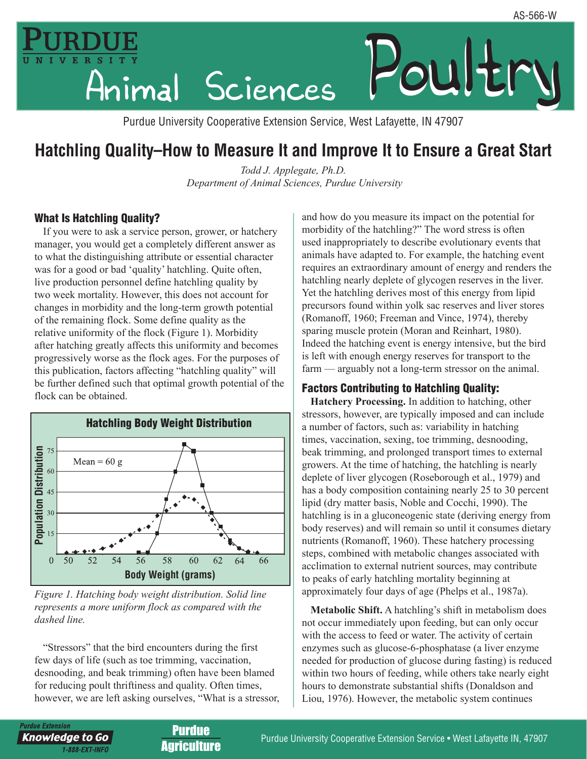

Purdue University Cooperative Extension Service, West Lafayette, IN 47907

# **Hatchling Quality–How to Measure It and Improve It to Ensure a Great Start**

*Todd J. Applegate, Ph.D. Department of Animal Sciences, Purdue University*

#### What Is Hatchling Quality?

If you were to ask a service person, grower, or hatchery manager, you would get a completely different answer as to what the distinguishing attribute or essential character was for a good or bad 'quality' hatchling. Quite often, live production personnel define hatchling quality by two week mortality. However, this does not account for changes in morbidity and the long-term growth potential of the remaining flock. Some define quality as the relative uniformity of the flock (Figure 1). Morbidity after hatching greatly affects this uniformity and becomes progressively worse as the flock ages. For the purposes of this publication, factors affecting "hatchling quality" will be further defined such that optimal growth potential of the flock can be obtained.



*Figure 1. Hatching body weight distribution. Solid line represents a more uniform flock as compared with the dashed line.*

"Stressors" that the bird encounters during the first few days of life (such as toe trimming, vaccination, desnooding, and beak trimming) often have been blamed for reducing poult thriftiness and quality. Often times, however, we are left asking ourselves, "What is a stressor,

*Irdue Extension* 

**Knowledge to Go** 

1-888-EXT-INFO

and how do you measure its impact on the potential for morbidity of the hatchling?" The word stress is often used inappropriately to describe evolutionary events that animals have adapted to. For example, the hatching event requires an extraordinary amount of energy and renders the hatchling nearly deplete of glycogen reserves in the liver. Yet the hatchling derives most of this energy from lipid precursors found within yolk sac reserves and liver stores (Romanoff, 1960; Freeman and Vince, 1974), thereby sparing muscle protein (Moran and Reinhart, 1980). Indeed the hatching event is energy intensive, but the bird is left with enough energy reserves for transport to the farm — arguably not a long-term stressor on the animal.

#### Factors Contributing to Hatchling Quality:

**Hatchery Processing.** In addition to hatching, other stressors, however, are typically imposed and can include a number of factors, such as: variability in hatching times, vaccination, sexing, toe trimming, desnooding, beak trimming, and prolonged transport times to external growers. At the time of hatching, the hatchling is nearly deplete of liver glycogen (Roseborough et al., 1979) and has a body composition containing nearly 25 to 30 percent lipid (dry matter basis, Noble and Cocchi, 1990). The hatchling is in a gluconeogenic state (deriving energy from body reserves) and will remain so until it consumes dietary nutrients (Romanoff, 1960). These hatchery processing steps, combined with metabolic changes associated with acclimation to external nutrient sources, may contribute to peaks of early hatchling mortality beginning at approximately four days of age (Phelps et al., 1987a).

**Metabolic Shift.** A hatchling's shift in metabolism does not occur immediately upon feeding, but can only occur with the access to feed or water. The activity of certain enzymes such as glucose-6-phosphatase (a liver enzyme needed for production of glucose during fasting) is reduced within two hours of feeding, while others take nearly eight hours to demonstrate substantial shifts (Donaldson and Liou, 1976). However, the metabolic system continues

Purdue **Agriculture**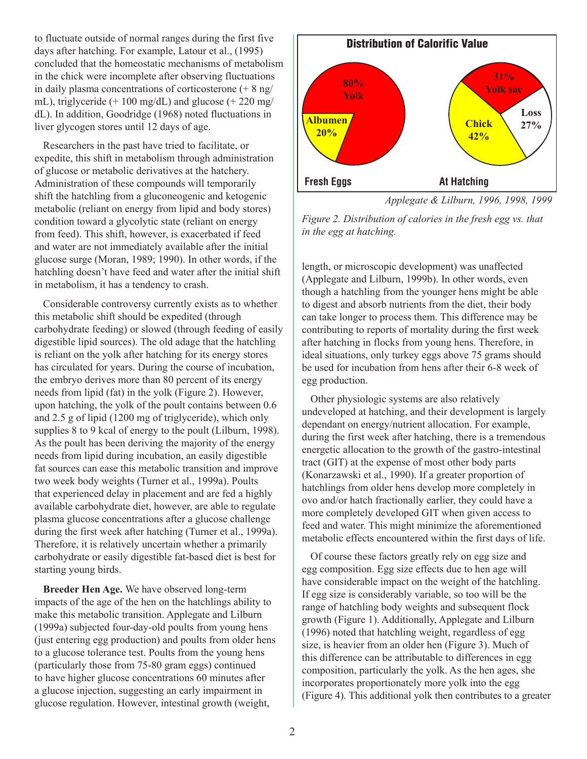to fluctuate outside of normal ranges during the first five days after hatching. For example, Latour et al., (1995) concluded that the homeostatic mechanisms of metabolism in the chick were incomplete after observing fluctuations in daily plasma concentrations of corticosterone (+ 8 ng/ mL), triglyceride  $(+ 100 \text{ mg/dL})$  and glucose  $(+ 220 \text{ mg/m})$ dL). In addition, Goodridge (1968) noted fluctuations in liver glycogen stores until 12 days of age.

Researchers in the past have tried to facilitate, or expedite, this shift in metabolism through administration of glucose or metabolic derivatives at the hatchery. Administration of these compounds will temporarily shift the hatchling from a gluconeogenic and ketogenic metabolic (reliant on energy from lipid and body stores) condition toward a glycolytic state (reliant on energy from feed). This shift, however, is exacerbated if feed and water are not immediately available after the initial glucose surge (Moran, 1989; 1990). In other words, if the hatchling doesn't have feed and water after the initial shift in metabolism, it has a tendency to crash.

Considerable controversy currently exists as to whether this metabolic shift should be expedited (through carbohydrate feeding) or slowed (through feeding of easily digestible lipid sources). The old adage that the hatchling is reliant on the yolk after hatching for its energy stores has circulated for years. During the course of incubation, the embryo derives more than 80 percent of its energy needs from lipid (fat) in the yolk (Figure 2). However, upon hatching, the yolk of the poult contains between 0.6 and 2.5 g of lipid (1200 mg of triglyceride), which only supplies 8 to 9 kcal of energy to the poult (Lilburn, 1998). As the poult has been deriving the majority of the energy needs from lipid during incubation, an easily digestible fat sources can ease this metabolic transition and improve two week body weights (Turner et al., 1999a). Poults that experienced delay in placement and are fed a highly available carbohydrate diet, however, are able to regulate plasma glucose concentrations after a glucose challenge during the first week after hatching (Turner et al., 1999a). Therefore, it is relatively uncertain whether a primarily carbohydrate or easily digestible fat-based diet is best for starting young birds.

**Breeder Hen Age.** We have observed long-term impacts of the age of the hen on the hatchlings ability to make this metabolic transition. Applegate and Lilburn (1999a) subjected four-day-old poults from young hens (just entering egg production) and poults from older hens to a glucose tolerance test. Poults from the young hens (particularly those from 75-80 gram eggs) continued to have higher glucose concentrations 60 minutes after a glucose injection, suggesting an early impairment in glucose regulation. However, intestinal growth (weight,



*Applegate & Lilburn, 1996, 1998, 1999*

*Figure 2. Distribution of calories in the fresh egg vs. that in the egg at hatching.*

length, or microscopic development) was unaffected (Applegate and Lilburn, 1999b). In other words, even though a hatchling from the younger hens might be able to digest and absorb nutrients from the diet, their body can take longer to process them. This difference may be contributing to reports of mortality during the first week after hatching in flocks from young hens. Therefore, in ideal situations, only turkey eggs above 75 grams should be used for incubation from hens after their 6-8 week of egg production.

Other physiologic systems are also relatively undeveloped at hatching, and their development is largely dependant on energy/nutrient allocation. For example, during the first week after hatching, there is a tremendous energetic allocation to the growth of the gastro-intestinal tract (GIT) at the expense of most other body parts (Konarzawski et al., 1990). If a greater proportion of hatchlings from older hens develop more completely in ovo and/or hatch fractionally earlier, they could have a more completely developed GIT when given access to feed and water. This might minimize the aforementioned metabolic effects encountered within the first days of life.

Of course these factors greatly rely on egg size and egg composition. Egg size effects due to hen age will have considerable impact on the weight of the hatchling. If egg size is considerably variable, so too will be the range of hatchling body weights and subsequent flock growth (Figure 1). Additionally, Applegate and Lilburn (1996) noted that hatchling weight, regardless of egg size, is heavier from an older hen (Figure 3). Much of this difference can be attributable to differences in egg composition, particularly the yolk. As the hen ages, she incorporates proportionately more yolk into the egg (Figure 4). This additional yolk then contributes to a greater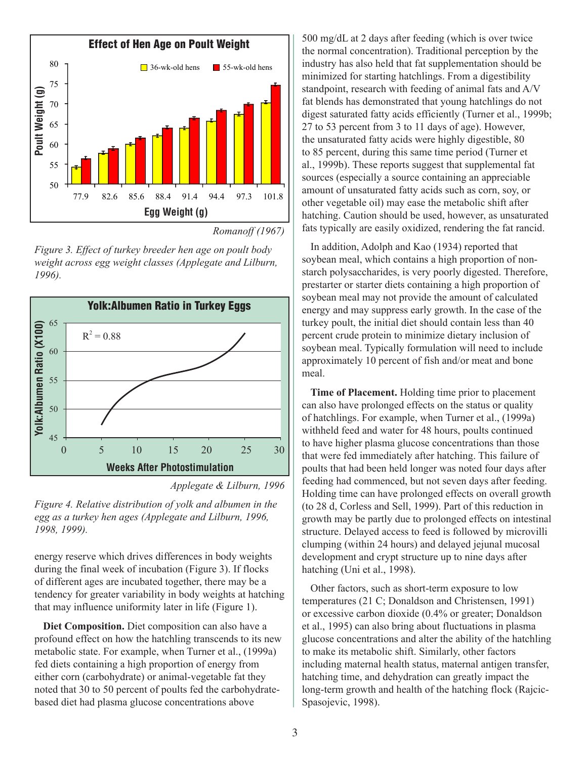

*Romanoff (1967)*

*Figure 3. Effect of turkey breeder hen age on poult body weight across egg weight classes (Applegate and Lilburn, 1996).*





*Figure 4. Relative distribution of yolk and albumen in the egg as a turkey hen ages (Applegate and Lilburn, 1996, 1998, 1999).*

energy reserve which drives differences in body weights during the final week of incubation (Figure 3). If flocks of different ages are incubated together, there may be a tendency for greater variability in body weights at hatching that may influence uniformity later in life (Figure 1).

**Diet Composition.** Diet composition can also have a profound effect on how the hatchling transcends to its new metabolic state. For example, when Turner et al., (1999a) fed diets containing a high proportion of energy from either corn (carbohydrate) or animal-vegetable fat they noted that 30 to 50 percent of poults fed the carbohydratebased diet had plasma glucose concentrations above

500 mg/dL at 2 days after feeding (which is over twice the normal concentration). Traditional perception by the industry has also held that fat supplementation should be minimized for starting hatchlings. From a digestibility standpoint, research with feeding of animal fats and A/V fat blends has demonstrated that young hatchlings do not digest saturated fatty acids efficiently (Turner et al., 1999b; 27 to 53 percent from 3 to 11 days of age). However, the unsaturated fatty acids were highly digestible, 80 to 85 percent, during this same time period (Turner et al., 1999b). These reports suggest that supplemental fat sources (especially a source containing an appreciable amount of unsaturated fatty acids such as corn, soy, or other vegetable oil) may ease the metabolic shift after hatching. Caution should be used, however, as unsaturated fats typically are easily oxidized, rendering the fat rancid.

In addition, Adolph and Kao (1934) reported that soybean meal, which contains a high proportion of nonstarch polysaccharides, is very poorly digested. Therefore, prestarter or starter diets containing a high proportion of soybean meal may not provide the amount of calculated energy and may suppress early growth. In the case of the turkey poult, the initial diet should contain less than 40 percent crude protein to minimize dietary inclusion of soybean meal. Typically formulation will need to include approximately 10 percent of fish and/or meat and bone meal.

**Time of Placement.** Holding time prior to placement can also have prolonged effects on the status or quality of hatchlings. For example, when Turner et al., (1999a) withheld feed and water for 48 hours, poults continued to have higher plasma glucose concentrations than those that were fed immediately after hatching. This failure of poults that had been held longer was noted four days after feeding had commenced, but not seven days after feeding. Holding time can have prolonged effects on overall growth (to 28 d, Corless and Sell, 1999). Part of this reduction in growth may be partly due to prolonged effects on intestinal structure. Delayed access to feed is followed by microvilli clumping (within 24 hours) and delayed jejunal mucosal development and crypt structure up to nine days after hatching (Uni et al., 1998).

Other factors, such as short-term exposure to low temperatures (21 C; Donaldson and Christensen, 1991) or excessive carbon dioxide (0.4% or greater; Donaldson et al., 1995) can also bring about fluctuations in plasma glucose concentrations and alter the ability of the hatchling to make its metabolic shift. Similarly, other factors including maternal health status, maternal antigen transfer, hatching time, and dehydration can greatly impact the long-term growth and health of the hatching flock (Rajcic-Spasojevic, 1998).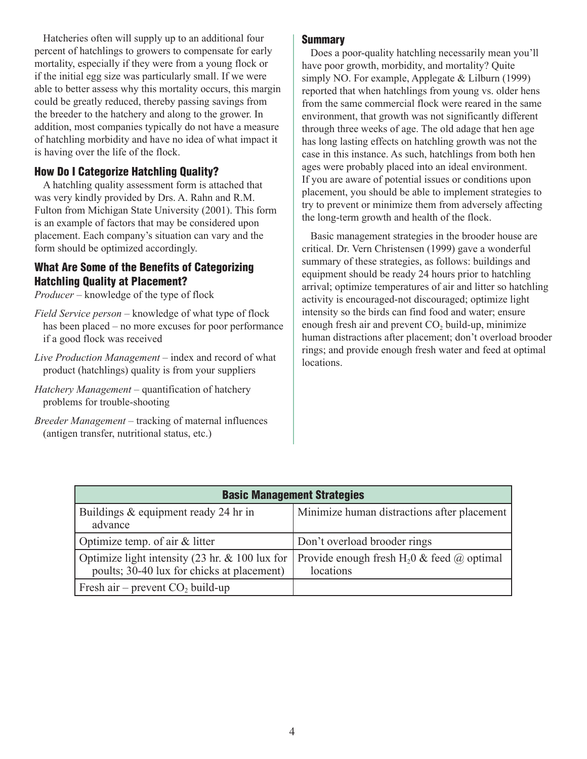Hatcheries often will supply up to an additional four percent of hatchlings to growers to compensate for early mortality, especially if they were from a young flock or if the initial egg size was particularly small. If we were able to better assess why this mortality occurs, this margin could be greatly reduced, thereby passing savings from the breeder to the hatchery and along to the grower. In addition, most companies typically do not have a measure of hatchling morbidity and have no idea of what impact it is having over the life of the flock.

### How Do I Categorize Hatchling Quality?

A hatchling quality assessment form is attached that was very kindly provided by Drs. A. Rahn and R.M. Fulton from Michigan State University (2001). This form is an example of factors that may be considered upon placement. Each company's situation can vary and the form should be optimized accordingly.

### What Are Some of the Benefits of Categorizing Hatchling Quality at Placement?

*Producer* – knowledge of the type of flock

- *Field Service person* knowledge of what type of flock has been placed – no more excuses for poor performance if a good flock was received
- *Live Production Management* index and record of what product (hatchlings) quality is from your suppliers
- *Hatchery Management*  quantification of hatchery problems for trouble-shooting
- *Breeder Management* tracking of maternal influences (antigen transfer, nutritional status, etc.)

#### **Summary**

Does a poor-quality hatchling necessarily mean you'll have poor growth, morbidity, and mortality? Quite simply NO. For example, Applegate & Lilburn (1999) reported that when hatchlings from young vs. older hens from the same commercial flock were reared in the same environment, that growth was not significantly different through three weeks of age. The old adage that hen age has long lasting effects on hatchling growth was not the case in this instance. As such, hatchlings from both hen ages were probably placed into an ideal environment. If you are aware of potential issues or conditions upon placement, you should be able to implement strategies to try to prevent or minimize them from adversely affecting the long-term growth and health of the flock.

Basic management strategies in the brooder house are critical. Dr. Vern Christensen (1999) gave a wonderful summary of these strategies, as follows: buildings and equipment should be ready 24 hours prior to hatchling arrival; optimize temperatures of air and litter so hatchling activity is encouraged-not discouraged; optimize light intensity so the birds can find food and water; ensure enough fresh air and prevent  $CO<sub>2</sub>$  build-up, minimize human distractions after placement; don't overload brooder rings; and provide enough fresh water and feed at optimal locations.

| <b>Basic Management Strategies</b>                                                           |                                                                            |  |  |  |
|----------------------------------------------------------------------------------------------|----------------------------------------------------------------------------|--|--|--|
| Buildings & equipment ready 24 hr in<br>advance                                              | Minimize human distractions after placement                                |  |  |  |
| Optimize temp. of air $&$ litter                                                             | Don't overload brooder rings                                               |  |  |  |
| Optimize light intensity (23 hr. & 100 lux for<br>poults; 30-40 lux for chicks at placement) | Provide enough fresh H <sub>2</sub> 0 & feed $\omega$ optimal<br>locations |  |  |  |
| Fresh air – prevent $CO2$ build-up                                                           |                                                                            |  |  |  |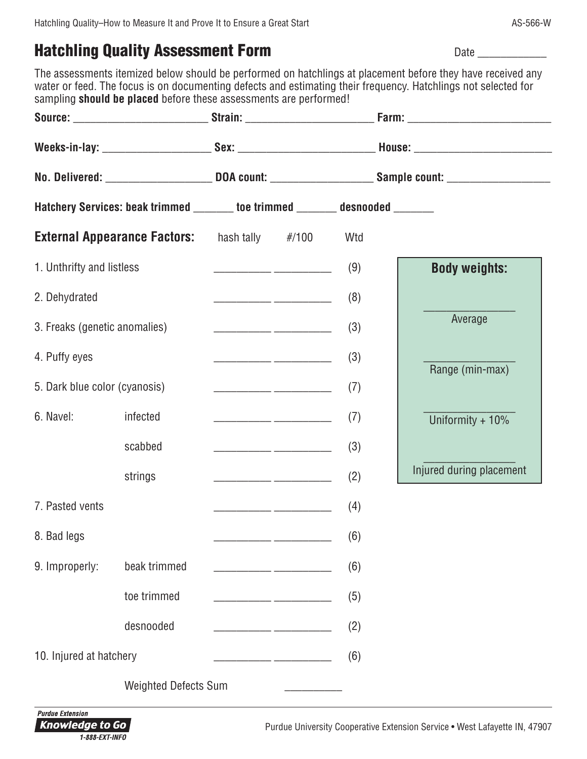# **Hatchling Quality Assessment Form Date Lines Assessment Form Date Lines Assessment Form Date Lines Assessment Form Date Lines Assessment Review Assessment Review Assessment Review Assessment Review Assessment Review Asses**

The assessments itemized below should be performed on hatchlings at placement before they have received any water or feed. The focus is on documenting defects and estimating their frequency. Hatchlings not selected for sampling **should be placed** before these assessments are performed!

|                               |                                                                               | Weeks-in-lay: ___________________________Sex: __________________________________House: _______________________<br>No. Delivered: ________________________________DOA count: _______________________Sample count: _______________ |  |     |                          |  |
|-------------------------------|-------------------------------------------------------------------------------|----------------------------------------------------------------------------------------------------------------------------------------------------------------------------------------------------------------------------------|--|-----|--------------------------|--|
|                               |                                                                               |                                                                                                                                                                                                                                  |  |     |                          |  |
|                               | Hatchery Services: beak trimmed _______ toe trimmed _______ desnooded _______ |                                                                                                                                                                                                                                  |  |     |                          |  |
|                               | <b>External Appearance Factors:</b> hash tally #/100                          |                                                                                                                                                                                                                                  |  | Wtd |                          |  |
| 1. Unthrifty and listless     |                                                                               |                                                                                                                                                                                                                                  |  | (9) | <b>Body weights:</b>     |  |
| 2. Dehydrated                 |                                                                               |                                                                                                                                                                                                                                  |  | (8) |                          |  |
| 3. Freaks (genetic anomalies) |                                                                               |                                                                                                                                                                                                                                  |  | (3) | Average                  |  |
| 4. Puffy eyes                 |                                                                               | $\begin{array}{cccc}\n \overbrace{\hspace{1.5cm}} & (3) & \end{array}$                                                                                                                                                           |  |     | Range (min-max)          |  |
| 5. Dark blue color (cyanosis) |                                                                               |                                                                                                                                                                                                                                  |  | (7) |                          |  |
| 6. Navel:                     | infected                                                                      |                                                                                                                                                                                                                                  |  | (7) | Uniformity + 10%         |  |
|                               | scabbed                                                                       |                                                                                                                                                                                                                                  |  | (3) |                          |  |
|                               | strings                                                                       |                                                                                                                                                                                                                                  |  | (2) | Injured during placement |  |
| 7. Pasted vents               |                                                                               |                                                                                                                                                                                                                                  |  | (4) |                          |  |
| 8. Bad legs                   |                                                                               |                                                                                                                                                                                                                                  |  | (6) |                          |  |
| 9. Improperly:                | beak trimmed                                                                  |                                                                                                                                                                                                                                  |  | (6) |                          |  |
|                               | toe trimmed                                                                   |                                                                                                                                                                                                                                  |  | (5) |                          |  |
|                               | desnooded                                                                     |                                                                                                                                                                                                                                  |  | (2) |                          |  |
| 10. Injured at hatchery       |                                                                               |                                                                                                                                                                                                                                  |  | (6) |                          |  |
|                               | <b>Weighted Defects Sum</b>                                                   |                                                                                                                                                                                                                                  |  |     |                          |  |

**Purdue Extension** Knowledge to Go 1-888-EXT-INFO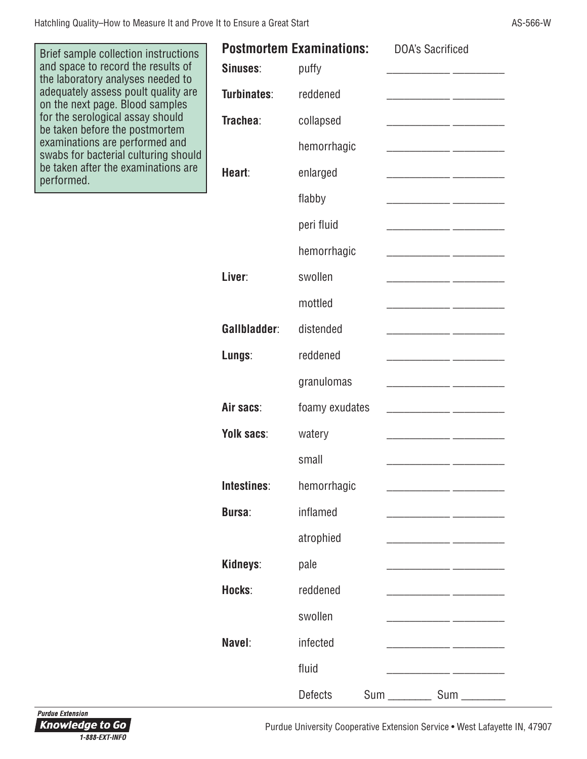Brief sample collection instructions and space to record the results of the laboratory analyses needed to adequately assess poult quality are on the next page. Blood samples for the serological assay should be taken before the postmortem examinations are performed and swabs for bacterial culturing should be taken after the examinations are performed.

|               | <b>Postmortem Examinations:</b> | <b>DOA's Sacrificed</b>                                                                                              |
|---------------|---------------------------------|----------------------------------------------------------------------------------------------------------------------|
| Sinuses:      | puffy                           |                                                                                                                      |
| Turbinates:   | reddened                        |                                                                                                                      |
| Trachea:      | collapsed                       |                                                                                                                      |
|               | hemorrhagic                     |                                                                                                                      |
| Heart:        | enlarged                        | <u> 1989 - Johann John Harry Harry Harry Harry Harry Harry Harry Harry Harry Harry Harry Harry Harry Harry Harry</u> |
|               | flabby                          |                                                                                                                      |
|               | peri fluid                      |                                                                                                                      |
|               | hemorrhagic                     |                                                                                                                      |
| Liver:        | swollen                         |                                                                                                                      |
|               | mottled                         |                                                                                                                      |
| Gallbladder:  | distended                       |                                                                                                                      |
| Lungs:        | reddened                        |                                                                                                                      |
|               | granulomas                      |                                                                                                                      |
| Air sacs:     | foamy exudates                  |                                                                                                                      |
| Yolk sacs:    | watery                          |                                                                                                                      |
|               | small                           |                                                                                                                      |
| Intestines:   | hemorrhagic                     |                                                                                                                      |
| <b>Bursa:</b> | inflamed                        |                                                                                                                      |
|               | atrophied                       |                                                                                                                      |
| Kidneys:      | pale                            |                                                                                                                      |
| Hocks:        | reddened                        |                                                                                                                      |
|               | swollen                         |                                                                                                                      |
| Navel:        | infected                        |                                                                                                                      |
|               | fluid                           |                                                                                                                      |
|               | <b>Defects</b>                  | <b>Sum</b>                                                                                                           |

Purdue University Cooperative Extension Service • West Lafayette IN, 47907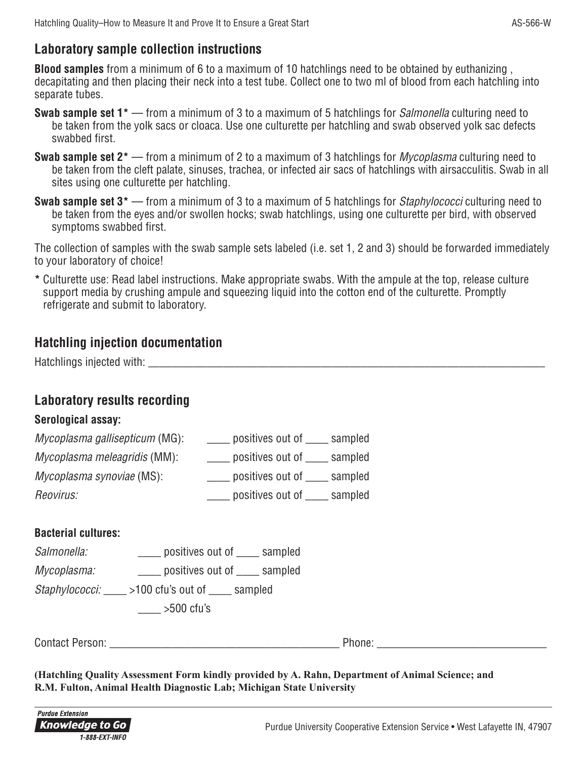### **Laboratory sample collection instructions**

**Blood samples** from a minimum of 6 to a maximum of 10 hatchlings need to be obtained by euthanizing , decapitating and then placing their neck into a test tube. Collect one to two ml of blood from each hatchling into separate tubes.

- **Swab sample set 1\*** from a minimum of 3 to a maximum of 5 hatchlings for Salmonella culturing need to be taken from the yolk sacs or cloaca. Use one culturette per hatchling and swab observed yolk sac defects swabbed first.
- **Swab sample set 2\*** from a minimum of 2 to a maximum of 3 hatchlings for Mycoplasma culturing need to be taken from the cleft palate, sinuses, trachea, or infected air sacs of hatchlings with airsacculitis. Swab in all sites using one culturette per hatchling.
- **Swab sample set 3\*** from a minimum of 3 to a maximum of 5 hatchlings for Staphylococci culturing need to be taken from the eyes and/or swollen hocks; swab hatchlings, using one culturette per bird, with observed symptoms swabbed first.

The collection of samples with the swab sample sets labeled (i.e. set 1, 2 and 3) should be forwarded immediately to your laboratory of choice!

**\*** Culturette use: Read label instructions. Make appropriate swabs. With the ampule at the top, release culture support media by crushing ampule and squeezing liquid into the cotton end of the culturette. Promptly refrigerate and submit to laboratory.

## **Hatchling injection documentation**

Hatchlings injected with: \_\_\_\_\_\_\_\_\_\_\_\_\_\_\_\_\_\_\_\_\_\_\_\_\_\_\_\_\_\_\_\_\_\_\_\_\_\_\_\_\_\_\_\_\_\_\_\_\_\_\_\_\_\_\_\_\_\_\_\_\_\_\_\_\_\_\_\_\_

## **Laboratory results recording**

### **Serological assay:**

| Mycoplasma gallisepticum (MG): | sampled<br>positives out of |
|--------------------------------|-----------------------------|
| Mycoplasma meleagridis (MM):   | sampled<br>positives out of |
| Mycoplasma synoviae (MS):      | sampled<br>positives out of |
| Reovirus:                      | positives out of<br>sampled |

### **Bacterial cultures:**

| Salmonella:                                           | positives out of _____ sampled |  |
|-------------------------------------------------------|--------------------------------|--|
| Mycoplasma:                                           | positives out of _____ sampled |  |
| Staphylococci: _<br>>100 cfu's out of<br>$\_$ sampled |                                |  |
|                                                       | $>500$ cfu's                   |  |

Contact Person: example and the set of the set of the Phone:  $\blacksquare$ 

**(Hatchling Quality Assessment Form kindly provided by A. Rahn, Department of Animal Science; and R.M. Fulton, Animal Health Diagnostic Lab; Michigan State University**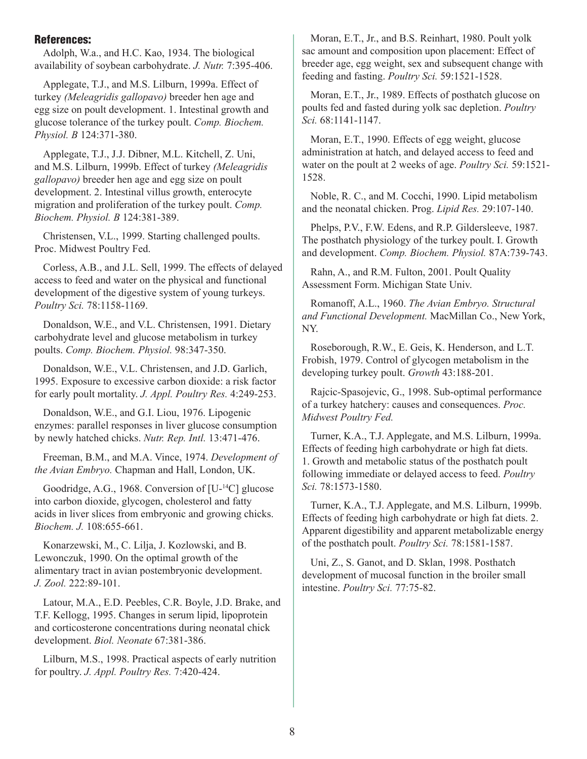#### References:

Adolph, W.a., and H.C. Kao, 1934. The biological availability of soybean carbohydrate. *J. Nutr.* 7:395-406.

Applegate, T.J., and M.S. Lilburn, 1999a. Effect of turkey *(Meleagridis gallopavo)* breeder hen age and egg size on poult development. 1. Intestinal growth and glucose tolerance of the turkey poult. *Comp. Biochem. Physiol. B* 124:371-380.

Applegate, T.J., J.J. Dibner, M.L. Kitchell, Z. Uni, and M.S. Lilburn, 1999b. Effect of turkey *(Meleagridis gallopavo)* breeder hen age and egg size on poult development. 2. Intestinal villus growth, enterocyte migration and proliferation of the turkey poult. *Comp. Biochem. Physiol. B* 124:381-389.

Christensen, V.L., 1999. Starting challenged poults. Proc. Midwest Poultry Fed.

Corless, A.B., and J.L. Sell, 1999. The effects of delayed access to feed and water on the physical and functional development of the digestive system of young turkeys. *Poultry Sci.* 78:1158-1169.

Donaldson, W.E., and V.L. Christensen, 1991. Dietary carbohydrate level and glucose metabolism in turkey poults. *Comp. Biochem. Physiol.* 98:347-350.

Donaldson, W.E., V.L. Christensen, and J.D. Garlich, 1995. Exposure to excessive carbon dioxide: a risk factor for early poult mortality. *J. Appl. Poultry Res.* 4:249-253.

Donaldson, W.E., and G.I. Liou, 1976. Lipogenic enzymes: parallel responses in liver glucose consumption by newly hatched chicks. *Nutr. Rep. Intl.* 13:471-476.

Freeman, B.M., and M.A. Vince, 1974. *Development of the Avian Embryo.* Chapman and Hall, London, UK.

Goodridge, A.G., 1968. Conversion of [U-14C] glucose into carbon dioxide, glycogen, cholesterol and fatty acids in liver slices from embryonic and growing chicks. *Biochem. J.* 108:655-661.

Konarzewski, M., C. Lilja, J. Kozlowski, and B. Lewonczuk, 1990. On the optimal growth of the alimentary tract in avian postembryonic development. *J. Zool.* 222:89-101.

Latour, M.A., E.D. Peebles, C.R. Boyle, J.D. Brake, and T.F. Kellogg, 1995. Changes in serum lipid, lipoprotein and corticosterone concentrations during neonatal chick development. *Biol. Neonate* 67:381-386.

Lilburn, M.S., 1998. Practical aspects of early nutrition for poultry. *J. Appl. Poultry Res.* 7:420-424.

Moran, E.T., Jr., and B.S. Reinhart, 1980. Poult yolk sac amount and composition upon placement: Effect of breeder age, egg weight, sex and subsequent change with feeding and fasting. *Poultry Sci.* 59:1521-1528.

Moran, E.T., Jr., 1989. Effects of posthatch glucose on poults fed and fasted during yolk sac depletion. *Poultry Sci.* 68:1141-1147.

Moran, E.T., 1990. Effects of egg weight, glucose administration at hatch, and delayed access to feed and water on the poult at 2 weeks of age. *Poultry Sci.* 59:1521- 1528.

Noble, R. C., and M. Cocchi, 1990. Lipid metabolism and the neonatal chicken. Prog. *Lipid Res.* 29:107-140.

Phelps, P.V., F.W. Edens, and R.P. Gildersleeve, 1987. The posthatch physiology of the turkey poult. I. Growth and development. *Comp. Biochem. Physiol.* 87A:739-743.

Rahn, A., and R.M. Fulton, 2001. Poult Quality Assessment Form. Michigan State Univ.

Romanoff, A.L., 1960. *The Avian Embryo. Structural and Functional Development.* MacMillan Co., New York, NY.

Roseborough, R.W., E. Geis, K. Henderson, and L.T. Frobish, 1979. Control of glycogen metabolism in the developing turkey poult. *Growth* 43:188-201.

Rajcic-Spasojevic, G., 1998. Sub-optimal performance of a turkey hatchery: causes and consequences. *Proc. Midwest Poultry Fed.*

Turner, K.A., T.J. Applegate, and M.S. Lilburn, 1999a. Effects of feeding high carbohydrate or high fat diets. 1. Growth and metabolic status of the posthatch poult following immediate or delayed access to feed. *Poultry Sci.* 78:1573-1580.

Turner, K.A., T.J. Applegate, and M.S. Lilburn, 1999b. Effects of feeding high carbohydrate or high fat diets. 2. Apparent digestibility and apparent metabolizable energy of the posthatch poult. *Poultry Sci.* 78:1581-1587.

Uni, Z., S. Ganot, and D. Sklan, 1998. Posthatch development of mucosal function in the broiler small intestine. *Poultry Sci.* 77:75-82.